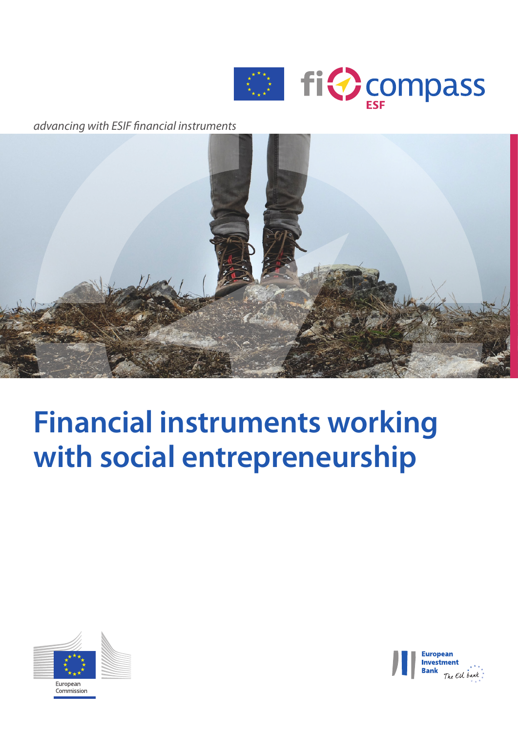

*advancing with ESIF nancial instruments*



# **Financial instruments working with social entrepreneurship**



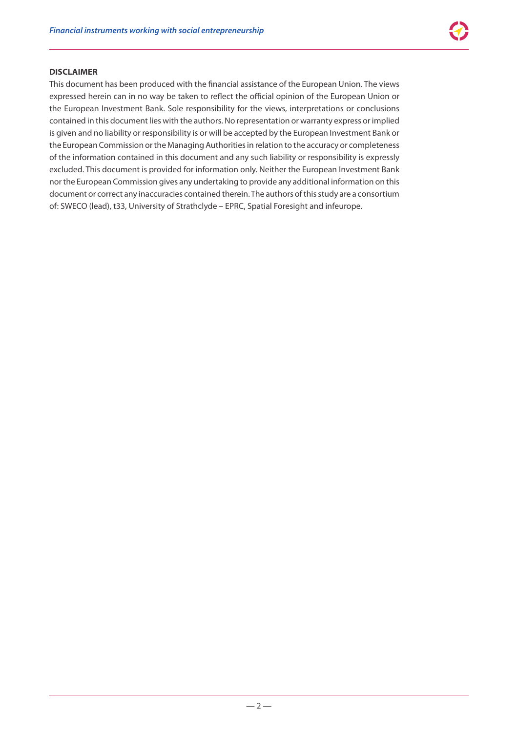#### **DISCLAIMER**

This document has been produced with the financial assistance of the European Union. The views expressed herein can in no way be taken to reflect the official opinion of the European Union or the European Investment Bank. Sole responsibility for the views, interpretations or conclusions contained in this document lies with the authors. No representation or warranty express or implied is given and no liability or responsibility is or will be accepted by the European Investment Bank or the European Commission or the Managing Authorities in relation to the accuracy or completeness of the information contained in this document and any such liability or responsibility is expressly excluded. This document is provided for information only. Neither the European Investment Bank nor the European Commission gives any undertaking to provide any additional information on this document or correct any inaccuracies contained therein. The authors of this study are a consortium of: SWECO (lead), t33, University of Strathclyde – EPRC, Spatial Foresight and infeurope.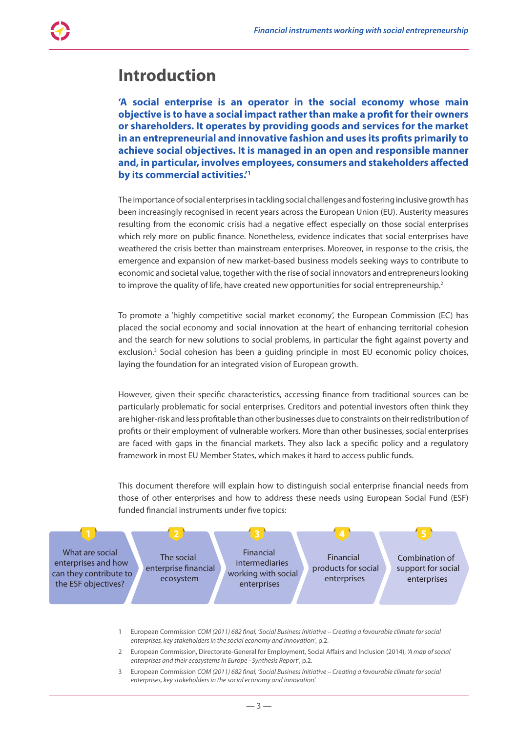### **Introduction**

**'A social enterprise is an operator in the social economy whose main objective is to have a social impact rather than make a profit for their owners or shareholders. It operates by providing goods and services for the market in an entrepreneurial and innovative fashion and uses its profits primarily to achieve social objectives. It is managed in an open and responsible manner and, in particular, involves employees, consumers and stakeholders affected by its commercial activities.'1**

The importance of social enterprises in tackling social challenges and fostering inclusive growth has been increasingly recognised in recent years across the European Union (EU). Austerity measures resulting from the economic crisis had a negative effect especially on those social enterprises which rely more on public finance. Nonetheless, evidence indicates that social enterprises have weathered the crisis better than mainstream enterprises. Moreover, in response to the crisis, the emergence and expansion of new market-based business models seeking ways to contribute to economic and societal value, together with the rise of social innovators and entrepreneurs looking to improve the quality of life, have created new opportunities for social entrepreneurship.<sup>2</sup>

To promote a 'highly competitive social market economy', the European Commission (EC) has placed the social economy and social innovation at the heart of enhancing territorial cohesion and the search for new solutions to social problems, in particular the fight against poverty and exclusion.<sup>3</sup> Social cohesion has been a guiding principle in most EU economic policy choices, laying the foundation for an integrated vision of European growth.

However, given their specific characteristics, accessing finance from traditional sources can be particularly problematic for social enterprises. Creditors and potential investors often think they are higher-risk and less profitable than other businesses due to constraints on their redistribution of profits or their employment of vulnerable workers. More than other businesses, social enterprises are faced with gaps in the financial markets. They also lack a specific policy and a regulatory framework in most EU Member States, which makes it hard to access public funds.

This document therefore will explain how to distinguish social enterprise financial needs from those of other enterprises and how to address these needs using European Social Fund (ESF) funded financial instruments under five topics:



1 European Commission *COM (2011) 682 final, 'Social Business Initiative – Creating a favourable climate for social enterprises, key stakeholders in the social economy and innovation'*, p.2.

- 2 European Commission, Directorate-General for Employment, Social Affairs and Inclusion (2014), *'A map of social enterprises and their ecosystems in Europe - Synthesis Report'*, p.2.
- 3 European Commission *COM (2011) 682 final, 'Social Business Initiative Creating a favourable climate for social enterprises, key stakeholders in the social economy and innovation'.*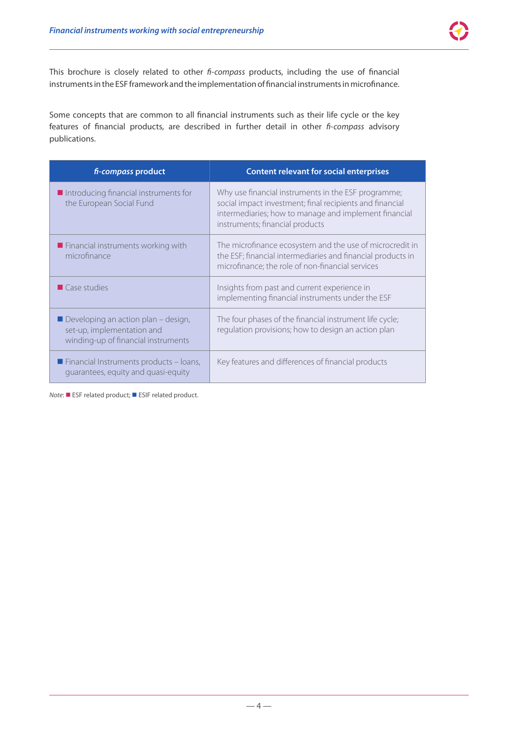This brochure is closely related to other *fi-compass* products, including the use of financial instruments in the ESF framework and the implementation of financial instruments in microfinance.

Some concepts that are common to all financial instruments such as their life cycle or the key features of financial products, are described in further detail in other *fi-compass* advisory publications.

| fi-compass product                                                                                       | <b>Content relevant for social enterprises</b>                                                                                                                                                              |
|----------------------------------------------------------------------------------------------------------|-------------------------------------------------------------------------------------------------------------------------------------------------------------------------------------------------------------|
| $\blacksquare$ Introducing financial instruments for<br>the European Social Fund                         | Why use financial instruments in the ESF programme;<br>social impact investment; final recipients and financial<br>intermediaries; how to manage and implement financial<br>instruments; financial products |
| Financial instruments working with<br>microfinance                                                       | The microfinance ecosystem and the use of microcredit in<br>the ESF; financial intermediaries and financial products in<br>microfinance; the role of non-financial services                                 |
| $\blacksquare$ Case studies                                                                              | Insights from past and current experience in<br>implementing financial instruments under the ESF                                                                                                            |
| Developing an action plan - design,<br>set-up, implementation and<br>winding-up of financial instruments | The four phases of the financial instrument life cycle;<br>regulation provisions; how to design an action plan                                                                                              |
| $\blacksquare$ Financial Instruments products - Ioans,<br>quarantees, equity and quasi-equity            | Key features and differences of financial products                                                                                                                                                          |

*Note*: ■ ESF related product; ■ ESIF related product.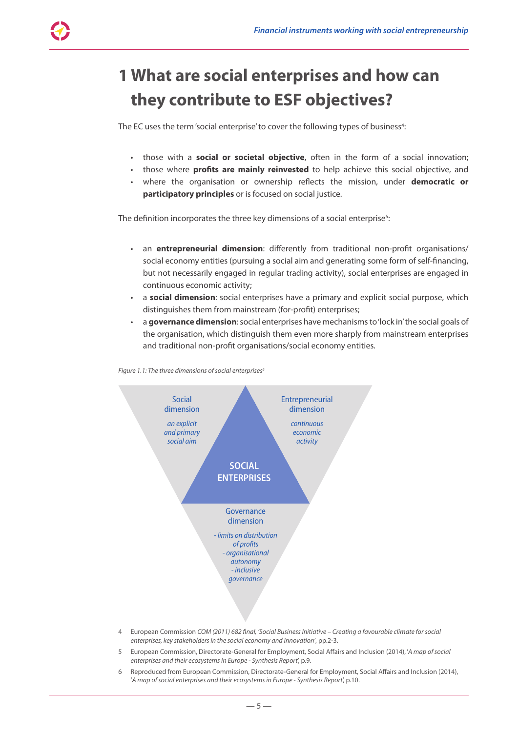## **1 What are social enterprises and how can they contribute to ESF objectives?**

The EC uses the term 'social enterprise' to cover the following types of business $^4$ :

- those with a **social or societal objective**, often in the form of a social innovation;
- those where **profits are mainly reinvested** to help achieve this social objective, and
- where the organisation or ownership reflects the mission, under **democratic or participatory principles** or is focused on social justice.

The definition incorporates the three key dimensions of a social enterprise $^{5}$ :

- an **entrepreneurial dimension**: differently from traditional non-profit organisations/ social economy entities (pursuing a social aim and generating some form of self-financing, but not necessarily engaged in regular trading activity), social enterprises are engaged in continuous economic activity;
- a **social dimension**: social enterprises have a primary and explicit social purpose, which distinguishes them from mainstream (for‑profit) enterprises;
- a **governance dimension**: social enterprises have mechanisms to 'lock in' the social goals of the organisation, which distinguish them even more sharply from mainstream enterprises and traditional non‑profit organisations/social economy entities.



*Figure 1.1: The three dimensions of social enterprises6*

- 4 European Commission *COM (2011) 682 final, 'Social Business Initiative Creating a favourable climate for social enterprises, key stakeholders in the social economy and innovation'*, pp.2-3.
- 5 European Commission, Directorate‑General for Employment, Social Affairs and Inclusion (2014), '*A map of social enterprises and their ecosystems in Europe - Synthesis Report*', p.9.
- 6 Reproduced from European Commission, Directorate‑General for Employment, Social Affairs and Inclusion (2014), '*A map of social enterprises and their ecosystems in Europe - Synthesis Report*', p.10.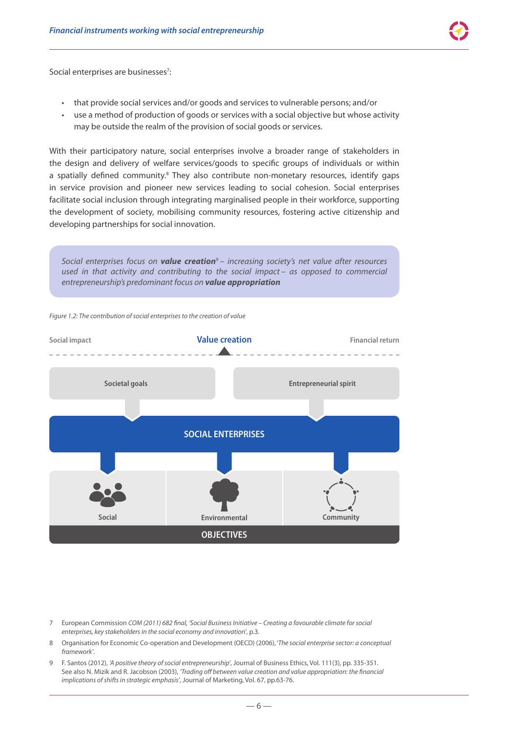Social enterprises are businesses<sup>7</sup>:

- that provide social services and/or goods and services to vulnerable persons; and/or
- use a method of production of goods or services with a social objective but whose activity may be outside the realm of the provision of social goods or services.

With their participatory nature, social enterprises involve a broader range of stakeholders in the design and delivery of welfare services/goods to specific groups of individuals or within a spatially defined community.<sup>8</sup> They also contribute non-monetary resources, identify gaps in service provision and pioneer new services leading to social cohesion. Social enterprises facilitate social inclusion through integrating marginalised people in their workforce, supporting the development of society*,* mobilising community resources, fostering active citizenship and developing partnerships for social innovation.



- 7 European Commission *COM (2011) 682 final, 'Social Business Initiative Creating a favourable climate for social enterprises, key stakeholders in the social economy and innovation'*, p.3.
- 8 Organisation for Economic Co-operation and Development (OECD) (2006), '*The social enterprise sector: a conceptual framework'*.
- 9 F. Santos (2012), *'A positive theory of social entrepreneurship'*, Journal of Business Ethics, Vol. 111(3), pp. 335-351. See also N. Mizik and R. Jacobson (2003), *'Trading off between value creation and value appropriation: the financial implications of shifts in strategic emphasis'*, Journal of Marketing, Vol. 67, pp.63-76.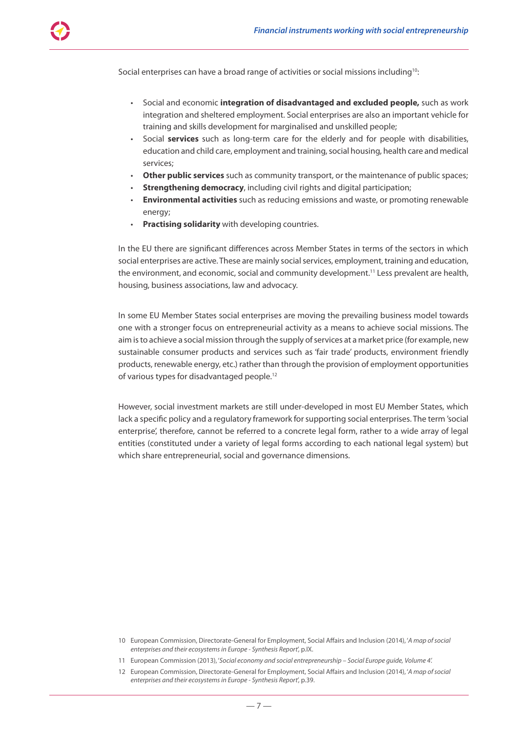Social enterprises can have a broad range of activities or social missions including<sup>10</sup>:

- Social and economic **integration of disadvantaged and excluded people,** such as work integration and sheltered employment. Social enterprises are also an important vehicle for training and skills development for marginalised and unskilled people;
- Social **services** such as long-term care for the elderly and for people with disabilities, education and child care, employment and training, social housing, health care and medical services;
- **Other public services** such as community transport, or the maintenance of public spaces;
- **Strengthening democracy**, including civil rights and digital participation;
- **Environmental activities** such as reducing emissions and waste, or promoting renewable energy;
- **Practising solidarity** with developing countries.

In the EU there are significant differences across Member States in terms of the sectors in which social enterprises are active. These are mainly social services, employment, training and education, the environment, and economic, social and community development.<sup>11</sup> Less prevalent are health, housing, business associations, law and advocacy.

In some EU Member States social enterprises are moving the prevailing business model towards one with a stronger focus on entrepreneurial activity as a means to achieve social missions. The aim is to achieve a social mission through the supply of services at a market price (for example, new sustainable consumer products and services such as 'fair trade' products, environment friendly products, renewable energy, etc.) rather than through the provision of employment opportunities of various types for disadvantaged people.12

However, social investment markets are still under‑developed in most EU Member States, which lack a specific policy and a regulatory framework for supporting social enterprises. The term 'social enterprise', therefore, cannot be referred to a concrete legal form, rather to a wide array of legal entities (constituted under a variety of legal forms according to each national legal system) but which share entrepreneurial, social and governance dimensions.

<sup>10</sup> European Commission, Directorate‑General for Employment, Social Affairs and Inclusion (2014), '*A map of social enterprises and their ecosystems in Europe - Synthesis Report*', p.IX.

<sup>11</sup> European Commission (2013), '*Social economy and social entrepreneurship – Social Europe guide, Volume 4'.*

<sup>12</sup> European Commission, Directorate‑General for Employment, Social Affairs and Inclusion (2014), '*A map of social enterprises and their ecosystems in Europe - Synthesis Report*', p.39.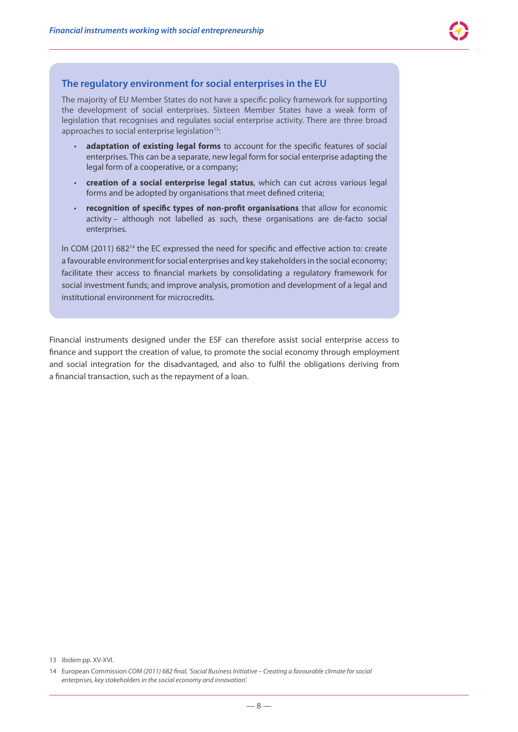#### **The regulatory environment for social enterprises in the EU**

The majority of EU Member States do not have a specific policy framework for supporting the development of social enterprises. Sixteen Member States have a weak form of legislation that recognises and regulates social enterprise activity. There are three broad approaches to social enterprise legislation<sup>13</sup>:

- adaptation of existing legal forms to account for the specific features of social enterprises. This can be a separate, new legal form for social enterprise adapting the legal form of a cooperative, or a company;
- **creation of a social enterprise legal status**, which can cut across various legal forms and be adopted by organisations that meet defined criteria;
- **recognition of specific types of non‑profit organisations** that allow for economic activity - although not labelled as such, these organisations are de-facto social enterprises.

In COM (2011) 68214 the EC expressed the need for specific and effective action to: create a favourable environment for social enterprises and key stakeholders in the social economy; facilitate their access to financial markets by consolidating a regulatory framework for social investment funds; and improve analysis, promotion and development of a legal and institutional environment for microcredits.

Financial instruments designed under the ESF can therefore assist social enterprise access to finance and support the creation of value, to promote the social economy through employment and social integration for the disadvantaged, and also to fulfil the obligations deriving from a financial transaction, such as the repayment of a loan.

<sup>13</sup> *Ibidem* pp. XV-XVI.

<sup>14</sup> European Commission *COM (2011) 682 final, 'Social Business Initiative – Creating a favourable climate for social enterprises, key stakeholders in the social economy and innovation'.*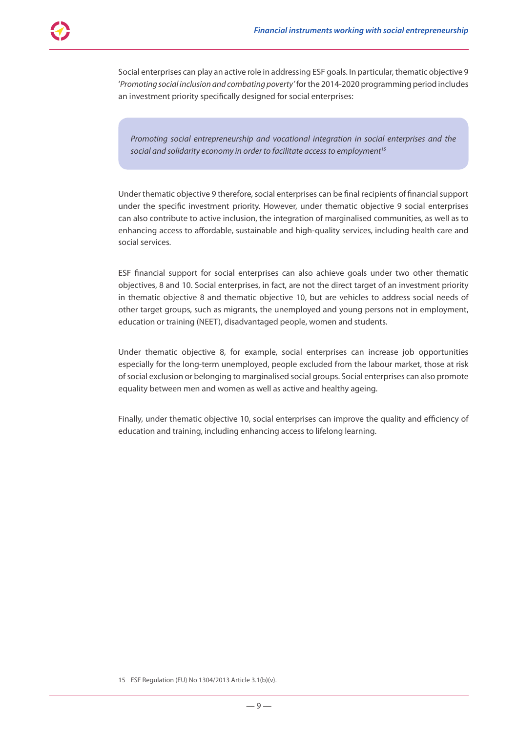Social enterprises can play an active role in addressing ESF goals. In particular, thematic objective 9 '*Promoting social inclusion and combating poverty'* for the 2014-2020 programming period includes an investment priority specifically designed for social enterprises:

*Promoting social entrepreneurship and vocational integration in social enterprises and the*  social and solidarity economy in order to facilitate access to employment<sup>15</sup>

Under thematic objective 9 therefore, social enterprises can be final recipients of financial support under the specific investment priority. However, under thematic objective 9 social enterprises can also contribute to active inclusion, the integration of marginalised communities, as well as to enhancing access to affordable, sustainable and high-quality services, including health care and social services.

ESF financial support for social enterprises can also achieve goals under two other thematic objectives, 8 and 10. Social enterprises, in fact, are not the direct target of an investment priority in thematic objective 8 and thematic objective 10, but are vehicles to address social needs of other target groups, such as migrants, the unemployed and young persons not in employment, education or training (NEET), disadvantaged people, women and students.

Under thematic objective 8, for example, social enterprises can increase job opportunities especially for the long-term unemployed, people excluded from the labour market, those at risk of social exclusion or belonging to marginalised social groups. Social enterprises can also promote equality between men and women as well as active and healthy ageing.

Finally, under thematic objective 10, social enterprises can improve the quality and efficiency of education and training, including enhancing access to lifelong learning.

15 ESF Regulation (EU) No 1304/2013 Article 3.1(b)(v).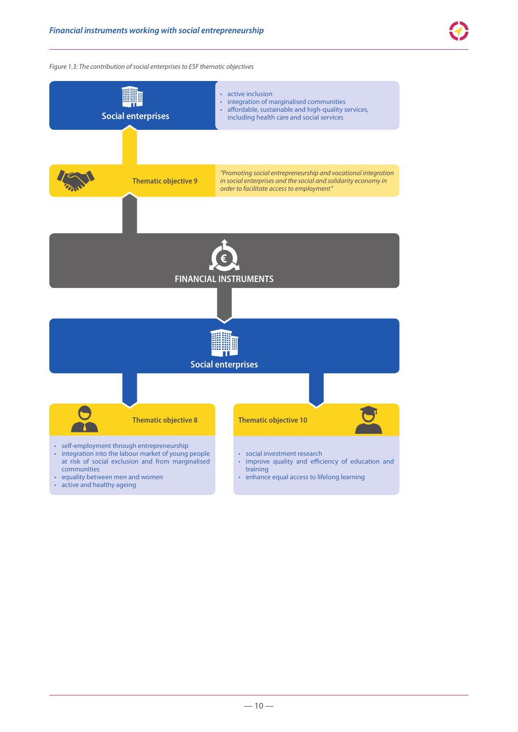*Figure 1.3: The contribution of social enterprises to ESF thematic objectives*



• active and healthy ageing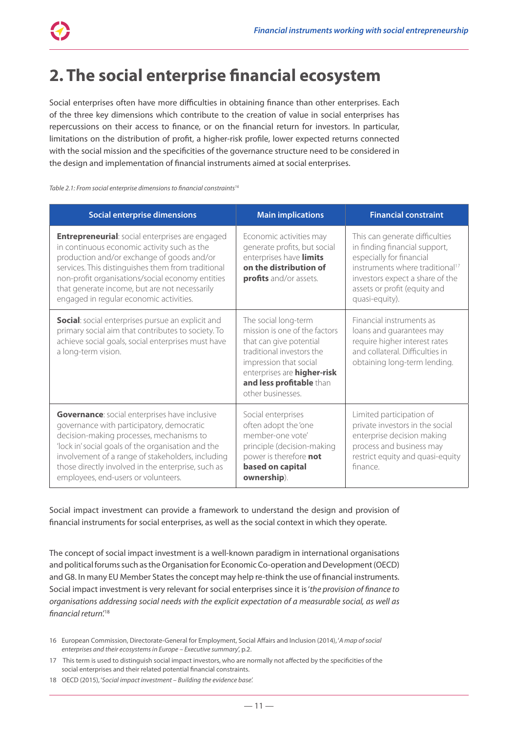### **2. The social enterprise financial ecosystem**

Social enterprises often have more difficulties in obtaining finance than other enterprises. Each of the three key dimensions which contribute to the creation of value in social enterprises has repercussions on their access to finance, or on the financial return for investors. In particular, limitations on the distribution of profit, a higher-risk profile, lower expected returns connected with the social mission and the specificities of the governance structure need to be considered in the design and implementation of financial instruments aimed at social enterprises.

*Table 2.1: From social enterprise dimensions to financial constraints16*

| <b>Social enterprise dimensions</b>                                                                                                                                                                                                                                                                                                                       | <b>Main implications</b>                                                                                                                                                                                                | <b>Financial constraint</b>                                                                                                                                                                                                     |
|-----------------------------------------------------------------------------------------------------------------------------------------------------------------------------------------------------------------------------------------------------------------------------------------------------------------------------------------------------------|-------------------------------------------------------------------------------------------------------------------------------------------------------------------------------------------------------------------------|---------------------------------------------------------------------------------------------------------------------------------------------------------------------------------------------------------------------------------|
| <b>Entrepreneurial:</b> social enterprises are engaged<br>in continuous economic activity such as the<br>production and/or exchange of goods and/or<br>services. This distinguishes them from traditional<br>non-profit organisations/social economy entities<br>that generate income, but are not necessarily<br>engaged in regular economic activities. | Economic activities may<br>generate profits, but social<br>enterprises have limits<br>on the distribution of<br>profits and/or assets.                                                                                  | This can generate difficulties<br>in finding financial support,<br>especially for financial<br>instruments where traditional <sup>17</sup><br>investors expect a share of the<br>assets or profit (equity and<br>quasi-equity). |
| Social: social enterprises pursue an explicit and<br>primary social aim that contributes to society. To<br>achieve social goals, social enterprises must have<br>a long-term vision.                                                                                                                                                                      | The social long-term<br>mission is one of the factors<br>that can give potential<br>traditional investors the<br>impression that social<br>enterprises are higher-risk<br>and less profitable than<br>other businesses. | Financial instruments as<br>loans and guarantees may<br>require higher interest rates<br>and collateral. Difficulties in<br>obtaining long-term lending.                                                                        |
| <b>Governance:</b> social enterprises have inclusive<br>governance with participatory, democratic<br>decision-making processes, mechanisms to<br>'lock in' social goals of the organisation and the<br>involvement of a range of stakeholders, including<br>those directly involved in the enterprise, such as<br>employees, end-users or volunteers.     | Social enterprises<br>often adopt the 'one<br>member-one vote'<br>principle (decision-making<br>power is therefore not<br>based on capital<br>ownership).                                                               | Limited participation of<br>private investors in the social<br>enterprise decision making<br>process and business may<br>restrict equity and quasi-equity<br>finance                                                            |

Social impact investment can provide a framework to understand the design and provision of financial instruments for social enterprises, as well as the social context in which they operate.

The concept of social impact investment is a well‑known paradigm in international organisations and political forums such as the Organisation for Economic Co-operation and Development (OECD) and G8. In many EU Member States the concept may help re-think the use of financial instruments. Social impact investment is very relevant for social enterprises since it is '*the provision of finance to organisations addressing social needs with the explicit expectation of a measurable social, as well as financial return'.*<sup>18</sup>

- 17 This term is used to distinguish social impact investors, who are normally not affected by the specificities of the social enterprises and their related potential financial constraints.
- 18 OECD (2015), '*Social impact investment Building the evidence base'.*

<sup>16</sup> European Commission, Directorate‑General for Employment, Social Affairs and Inclusion (2014), '*A map of social enterprises and their ecosystems in Europe – Executive summary*', p.2.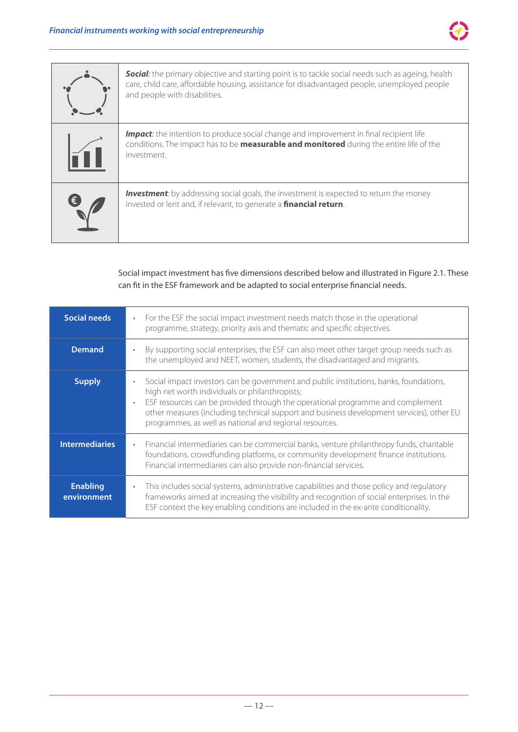

| <b>Social:</b> the primary objective and starting point is to tackle social needs such as ageing, health<br>care, child care, affordable housing, assistance for disadvantaged people, unemployed people<br>and people with disabilities. |
|-------------------------------------------------------------------------------------------------------------------------------------------------------------------------------------------------------------------------------------------|
| <b>Impact:</b> the intention to produce social change and improvement in final recipient life<br>conditions. The impact has to be <b>measurable and monitored</b> during the entire life of the<br>investment.                            |
| <b>Investment</b> : by addressing social goals, the investment is expected to return the money<br>invested or lent and, if relevant, to generate a financial return.                                                                      |

Social impact investment has five dimensions described below and illustrated in Figure 2.1. These can fit in the ESF framework and be adapted to social enterprise financial needs.

| <b>Social needs</b>            | For the ESF the social impact investment needs match those in the operational<br>$\bullet$<br>programme, strategy, priority axis and thematic and specific objectives.                                                                                                                                                                                                            |  |
|--------------------------------|-----------------------------------------------------------------------------------------------------------------------------------------------------------------------------------------------------------------------------------------------------------------------------------------------------------------------------------------------------------------------------------|--|
| <b>Demand</b>                  | By supporting social enterprises, the ESF can also meet other target group needs such as<br>the unemployed and NEET, women, students, the disadvantaged and migrants.                                                                                                                                                                                                             |  |
| <b>Supply</b>                  | Social impact investors can be government and public institutions, banks, foundations,<br>high net worth individuals or philanthropists;<br>ESF resources can be provided through the operational programme and complement<br>other measures (including technical support and business development services), other EU<br>programmes, as well as national and regional resources. |  |
| <b>Intermediaries</b>          | Financial intermediaries can be commercial banks, venture philanthropy funds, charitable<br>foundations, crowdfunding platforms, or community development finance institutions.<br>Financial intermediaries can also provide non-financial services.                                                                                                                              |  |
| <b>Enabling</b><br>environment | This includes social systems, administrative capabilities and those policy and regulatory<br>$\bullet$<br>frameworks aimed at increasing the visibility and recognition of social enterprises. In the<br>ESF context the key enabling conditions are included in the ex-ante conditionality.                                                                                      |  |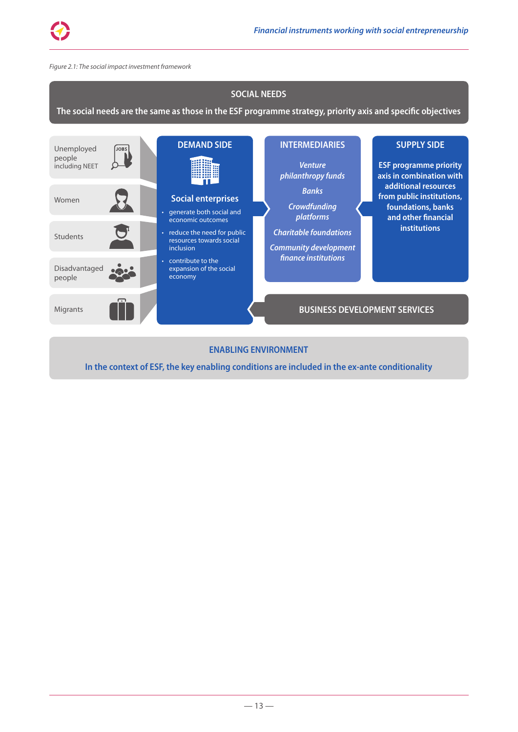

#### *Figure 2.1: The social impact investment framework*



**The social needs are the same as those in the ESF programme strategy, priority axis and specific objectives**



#### **ENABLING ENVIRONMENT**

**In the context of ESF, the key enabling conditions are included in the ex-ante conditionality**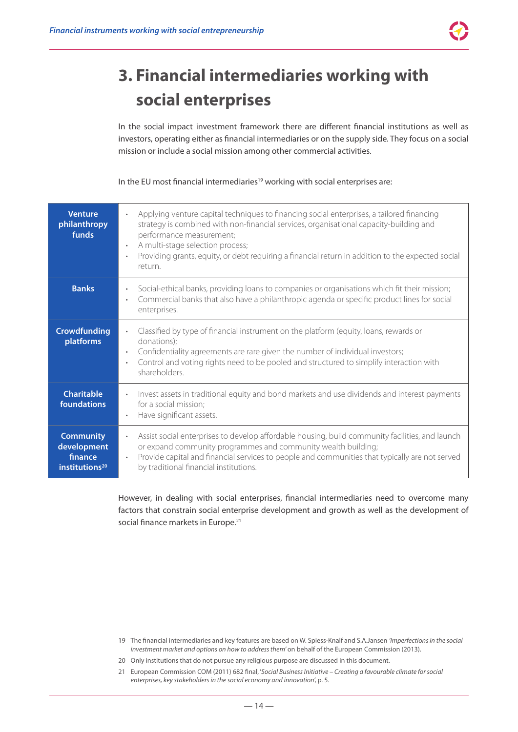

## **3. Financial intermediaries working with social enterprises**

In the social impact investment framework there are different financial institutions as well as investors, operating either as financial intermediaries or on the supply side. They focus on a social mission or include a social mission among other commercial activities.

In the EU most financial intermediaries<sup>19</sup> working with social enterprises are:

| <b>Venture</b><br>philanthropy<br>funds                                  | Applying venture capital techniques to financing social enterprises, a tailored financing<br>strategy is combined with non-financial services, organisational capacity-building and<br>performance measurement;<br>A multi-stage selection process;<br>Providing grants, equity, or debt requiring a financial return in addition to the expected social<br>$\bullet$<br>return. |  |
|--------------------------------------------------------------------------|----------------------------------------------------------------------------------------------------------------------------------------------------------------------------------------------------------------------------------------------------------------------------------------------------------------------------------------------------------------------------------|--|
| <b>Banks</b>                                                             | Social-ethical banks, providing loans to companies or organisations which fit their mission;<br>$\bullet$<br>Commercial banks that also have a philanthropic agenda or specific product lines for social<br>$\bullet$<br>enterprises.                                                                                                                                            |  |
| <b>Crowdfunding</b><br>platforms                                         | Classified by type of financial instrument on the platform (equity, loans, rewards or<br>donations);<br>Confidentiality agreements are rare given the number of individual investors;<br>$\bullet$<br>Control and voting rights need to be pooled and structured to simplify interaction with<br>shareholders.                                                                   |  |
| <b>Charitable</b><br>foundations                                         | Invest assets in traditional equity and bond markets and use dividends and interest payments<br>$\bullet$<br>for a social mission;<br>Have significant assets.                                                                                                                                                                                                                   |  |
| <b>Community</b><br>development<br>finance<br>institutions <sup>20</sup> | Assist social enterprises to develop affordable housing, build community facilities, and launch<br>or expand community programmes and community wealth building;<br>Provide capital and financial services to people and communities that typically are not served<br>$\bullet$<br>by traditional financial institutions.                                                        |  |

However, in dealing with social enterprises, financial intermediaries need to overcome many factors that constrain social enterprise development and growth as well as the development of social finance markets in Europe.<sup>21</sup>

- 19 The financial intermediaries and key features are based on W. Spiess‑Knalf and S.A.Jansen *'Imperfections in the social investment market and options on how to address them'* on behalf of the European Commission (2013).
- 20 Only institutions that do not pursue any religious purpose are discussed in this document.
- 21 European Commission COM (2011) 682 final, '*Social Business Initiative Creating a favourable climate for social enterprises, key stakeholders in the social economy and innovation*', p. 5.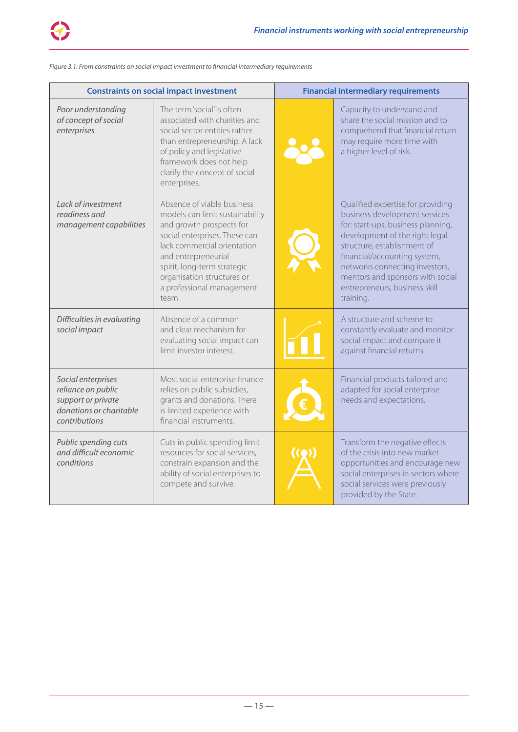

| Figure 3.1: From constraints on social impact investment to financial intermediary requirements |  |
|-------------------------------------------------------------------------------------------------|--|
|                                                                                                 |  |

| <b>Constraints on social impact investment</b>                                                             |                                                                                                                                                                                                                                                                                     | <b>Financial intermediary requirements</b> |                                                                                                                                                                                                                                                                                                                               |
|------------------------------------------------------------------------------------------------------------|-------------------------------------------------------------------------------------------------------------------------------------------------------------------------------------------------------------------------------------------------------------------------------------|--------------------------------------------|-------------------------------------------------------------------------------------------------------------------------------------------------------------------------------------------------------------------------------------------------------------------------------------------------------------------------------|
| Poor understanding<br>of concept of social<br>enterprises                                                  | The term 'social' is often<br>associated with charities and<br>social sector entities rather<br>than entrepreneurship. A lack<br>of policy and legislative<br>framework does not help<br>clarify the concept of social<br>enterprises.                                              |                                            | Capacity to understand and<br>share the social mission and to<br>comprehend that financial return<br>may require more time with<br>a higher level of risk.                                                                                                                                                                    |
| Lack of investment<br>readiness and<br>management capabilities                                             | Absence of viable business<br>models can limit sustainability<br>and growth prospects for<br>social enterprises. These can<br>lack commercial orientation<br>and entrepreneurial<br>spirit, long-term strategic<br>organisation structures or<br>a professional management<br>team. |                                            | Qualified expertise for providing<br>business development services<br>for: start-ups, business planning,<br>development of the right legal<br>structure, establishment of<br>financial/accounting system,<br>networks connecting investors,<br>mentors and sponsors with social<br>entrepreneurs, business skill<br>training. |
| Difficulties in evaluating<br>social impact                                                                | Absence of a common<br>and clear mechanism for<br>evaluating social impact can<br>limit investor interest.                                                                                                                                                                          |                                            | A structure and scheme to<br>constantly evaluate and monitor<br>social impact and compare it<br>against financial returns.                                                                                                                                                                                                    |
| Social enterprises<br>reliance on public<br>support or private<br>donations or charitable<br>contributions | Most social enterprise finance<br>relies on public subsidies,<br>grants and donations. There<br>is limited experience with<br>financial instruments.                                                                                                                                |                                            | Financial products tailored and<br>adapted for social enterprise<br>needs and expectations.                                                                                                                                                                                                                                   |
| Public spending cuts<br>and difficult economic<br>conditions                                               | Cuts in public spending limit<br>resources for social services,<br>constrain expansion and the<br>ability of social enterprises to<br>compete and survive.                                                                                                                          |                                            | Transform the negative effects<br>of the crisis into new market<br>opportunities and encourage new<br>social enterprises in sectors where<br>social services were previously<br>provided by the State.                                                                                                                        |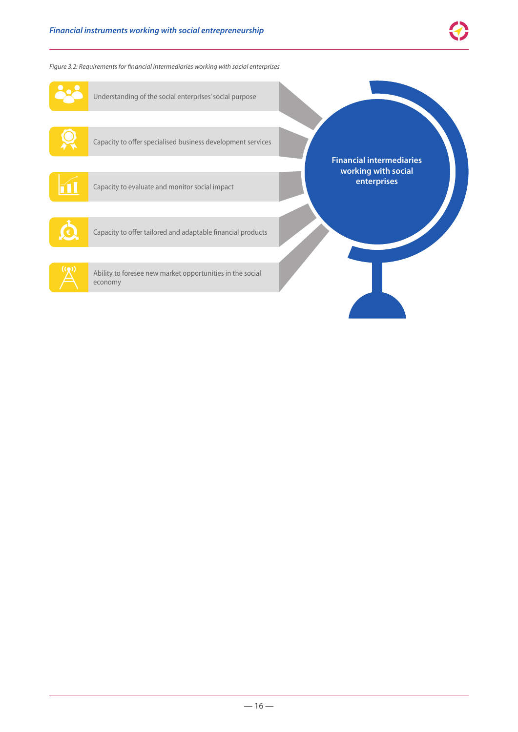*Figure 3.2: Requirements for financial intermediaries working with social enterprises*

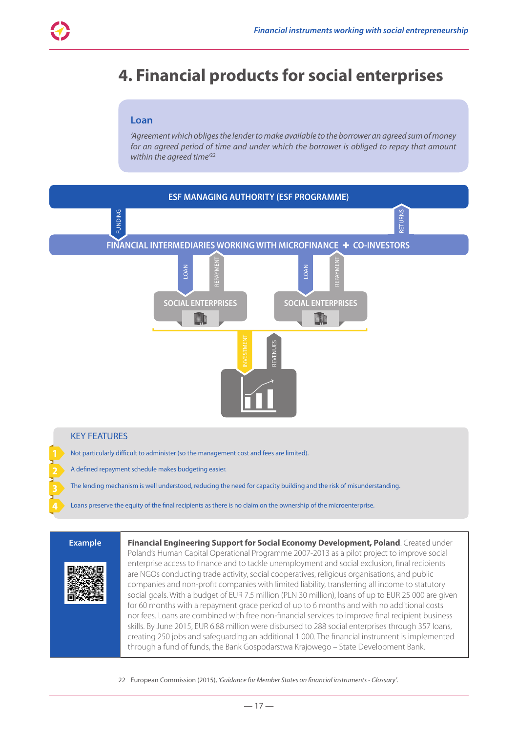### **4. Financial products for social enterprises**

#### **Loan**

*'Agreement which obliges the lender to make available to the borrower an agreed sum of money for an agreed period of time and under which the borrower is obliged to repay that amount within the agreed time'*<sup>22</sup>



A defined repayment schedule makes budgeting easier.

The lending mechanism is well understood, reducing the need for capacity building and the risk of misunderstanding.

Loans preserve the equity of the final recipients as there is no claim on the ownership of the microenterprise.



**Example Financial Engineering Support for Social Economy Development, Poland**. Created under Poland's Human Capital Operational Programme 2007-2013 as a pilot project to improve social enterprise access to finance and to tackle unemployment and social exclusion, final recipients are NGOs conducting trade activity, social cooperatives, religious organisations, and public companies and non-profit companies with limited liability, transferring all income to statutory social goals. With a budget of EUR 7.5 million (PLN 30 million), loans of up to EUR 25 000 are given for 60 months with a repayment grace period of up to 6 months and with no additional costs nor fees. Loans are combined with free non-financial services to improve final recipient business skills. By June 2015, EUR 6.88 million were disbursed to 288 social enterprises through 357 loans, creating 250 jobs and safeguarding an additional 1 000. The financial instrument is implemented through a fund of funds, the Bank Gospodarstwa Krajowego – State Development Bank.

22 European Commission (2015), *'Guidance for Member States on financial instruments - Glossary'*.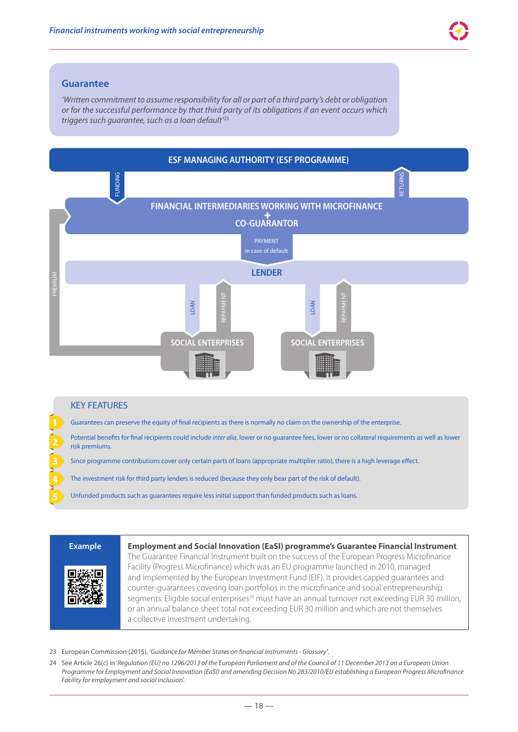

#### **Guarantee**

*'Written commitment to assume responsibility for all or part of a third party's debt or obligation or for the successful performance by that third party of its obligations if an event occurs which triggers such guarantee, such as a loan default'*<sup>23</sup>



The investment risk for third party lenders is reduced (because they only bear part of the risk of default).

Unfunded products such as guarantees require less initial support than funded products such as loans.



**Example Employment and Social Innovation (EaSI) programme's Guarantee Financial Instrument**. The Guarantee Financial Instrument built on the success of the European Progress Microfinance Facility (Progress Microfinance) which was an EU programme launched in 2010, managed and implemented by the European Investment Fund (EIF). It provides capped guarantees and counter-quarantees covering loan portfolios in the microfinance and social entrepreneurship segments. Eligible social enterprises<sup>24</sup> must have an annual turnover not exceeding EUR 30 million, or an annual balance sheet total not exceeding EUR 30 million and which are not themselves a collective investment undertaking.

- 23 European Commission (2015), *'Guidance for Member States on financial instruments Glossary'*.
- 24 See Article 26(c) in '*Regulation (EU) no 1296/2013 of the European Parliament and of the Council of 11 December 2013 on a European Union Programme for Employment and Social Innovation (EaSI) and amending Decision No 283/2010/EU establishing a European Progress Microfinance Facility for employment and social inclusion*'.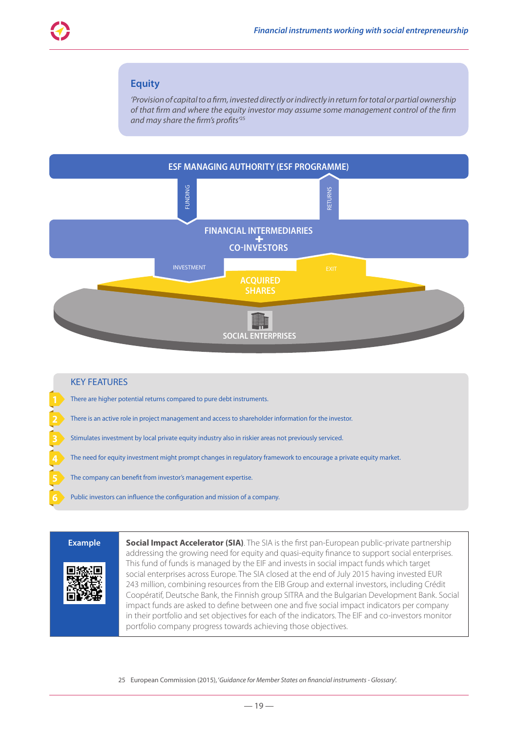#### **Equity**

*'Provision of capital to a firm, invested directly or indirectly in return for total or partial ownership of that firm and where the equity investor may assume some management control of the firm and may share the firm's profits'*<sup>25</sup>



### KEY FEATURES There are higher potential returns compared to pure debt instruments. There is an active role in project management and access to shareholder information for the investor. Stimulates investment by local private equity industry also in riskier areas not previously serviced. The need for equity investment might prompt changes in regulatory framework to encourage a private equity market. The company can benefit from investor's management expertise. Public investors can influence the configuration and mission of a company.



**Example <b>Social Impact Accelerator (SIA)**. The SIA is the first pan-European public-private partnership addressing the growing need for equity and quasi-equity finance to support social enterprises. This fund of funds is managed by the EIF and invests in social impact funds which target social enterprises across Europe. The SIA closed at the end of July 2015 having invested EUR 243 million, combining resources from the EIB Group and external investors, including Crédit Coopératif, Deutsche Bank, the Finnish group SITRA and the Bulgarian Development Bank. Social impact funds are asked to define between one and five social impact indicators per company in their portfolio and set objectives for each of the indicators. The EIF and co-investors monitor portfolio company progress towards achieving those objectives.

25 European Commission (2015), '*Guidance for Member States on financial instruments - Glossary*'.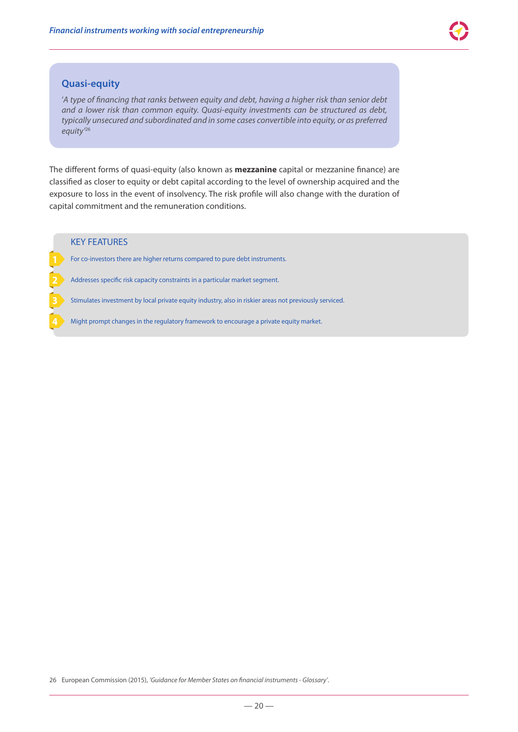#### **Quasi‑equity**

'*A type of financing that ranks between equity and debt, having a higher risk than senior debt and a lower risk than common equity. Quasi-equity investments can be structured as debt, typically unsecured and subordinated and in some cases convertible into equity, or as preferred equity'*<sup>26</sup>

The different forms of quasi-equity (also known as **mezzanine** capital or mezzanine finance) are classified as closer to equity or debt capital according to the level of ownership acquired and the exposure to loss in the event of insolvency. The risk profile will also change with the duration of capital commitment and the remuneration conditions.

#### KEY FEATURES

For co-investors there are higher returns compared to pure debt instruments.

Addresses specific risk capacity constraints in a particular market segment.

Stimulates investment by local private equity industry, also in riskier areas not previously serviced.

Might prompt changes in the regulatory framework to encourage a private equity market.

<sup>26</sup> European Commission (2015), *'Guidance for Member States on financial instruments - Glossary'*.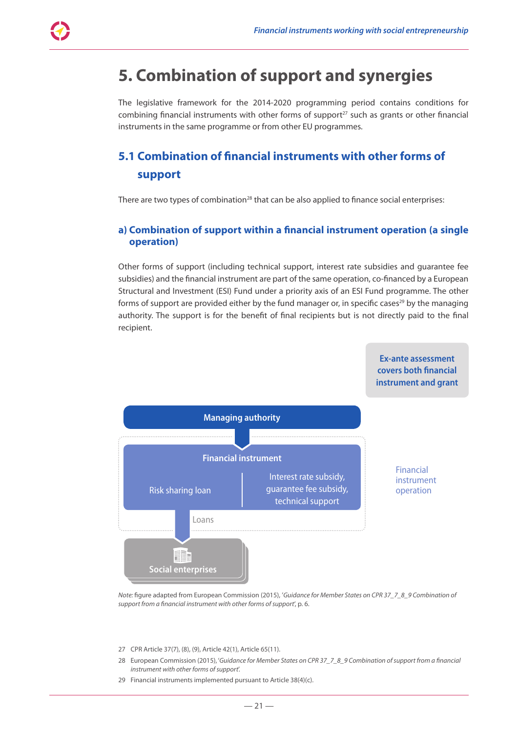### **5. Combination of support and synergies**

The legislative framework for the 2014-2020 programming period contains conditions for combining financial instruments with other forms of support $27$  such as grants or other financial instruments in the same programme or from other EU programmes.

### **5.1 Combination of financial instruments with other forms of support**

There are two types of combination $^{28}$  that can be also applied to finance social enterprises:

#### **a) Combination of support within a financial instrument operation (a single operation)**

Other forms of support (including technical support, interest rate subsidies and guarantee fee subsidies) and the financial instrument are part of the same operation, co-financed by a European Structural and Investment (ESI) Fund under a priority axis of an ESI Fund programme. The other forms of support are provided either by the fund manager or, in specific cases<sup>29</sup> by the managing authority. The support is for the benefit of final recipients but is not directly paid to the final recipient.



*Note:* figure adapted from European Commission (2015), '*Guidance for Member States on CPR 37\_7\_8\_9 Combination of support from a financial instrument with other forms of support*', p. 6.

- 27 CPR Article 37(7), (8), (9), Article 42(1), Article 65(11).
- 28 European Commission (2015), '*Guidance for Member States on CPR 37\_7\_8\_9 Combination of support from a financial instrument with other forms of support*'.
- 29 Financial instruments implemented pursuant to Article 38(4)(c).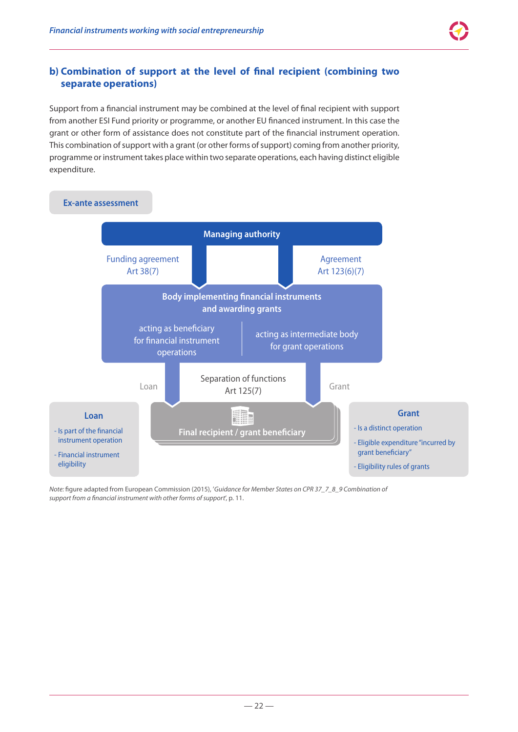### **b) Combination of support at the level of final recipient (combining two separate operations)**

Support from a financial instrument may be combined at the level of final recipient with support from another ESI Fund priority or programme, or another EU financed instrument. In this case the grant or other form of assistance does not constitute part of the financial instrument operation. This combination of support with a grant (or other forms of support) coming from another priority, programme or instrument takes place within two separate operations, each having distinct eligible expenditure.



*Note:* figure adapted from European Commission (2015), '*Guidance for Member States on CPR 37\_7\_8\_9 Combination of support from a financial instrument with other forms of support*', p. 11.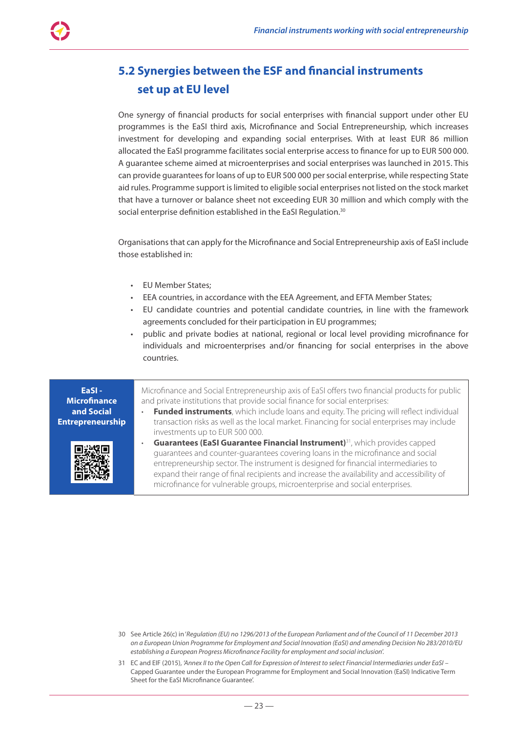### **5.2 Synergies between the ESF and financial instruments set up at EU level**

One synergy of financial products for social enterprises with financial support under other EU programmes is the EaSI third axis, Microfinance and Social Entrepreneurship, which increases investment for developing and expanding social enterprises. With at least EUR 86 million allocated the EaSI programme facilitates social enterprise access to finance for up to EUR 500 000. A guarantee scheme aimed at microenterprises and social enterprises was launched in 2015. This can provide guarantees for loans of up to EUR 500 000 per social enterprise, while respecting State aid rules. Programme support is limited to eligible social enterprises not listed on the stock market that have a turnover or balance sheet not exceeding EUR 30 million and which comply with the social enterprise definition established in the EaSI Regulation.<sup>30</sup>

Organisations that can apply for the Microfinance and Social Entrepreneurship axis of EaSI include those established in:

- EU Member States;
- EEA countries, in accordance with the EEA Agreement, and EFTA Member States;
- EU candidate countries and potential candidate countries, in line with the framework agreements concluded for their participation in EU programmes;
- public and private bodies at national, regional or local level providing microfinance for individuals and microenterprises and/or financing for social enterprises in the above countries.

Microfinance and Social Entrepreneurship axis of EaSI offers two financial products for public and private institutions that provide social finance for social enterprises:

- **Funded instruments**, which include loans and equity. The pricing will reflect individual transaction risks as well as the local market. Financing for social enterprises may include investments up to EUR 500 000.
- **Guarantees (EaSI Guarantee Financial Instrument)**31, which provides capped guarantees and counter‑guarantees covering loans in the microfinance and social entrepreneurship sector. The instrument is designed for financial intermediaries to expand their range of final recipients and increase the availability and accessibility of microfinance for vulnerable groups, microenterprise and social enterprises.

- 30 See Article 26(c) in '*Regulation (EU) no 1296/2013 of the European Parliament and of the Council of 11 December 2013 on a European Union Programme for Employment and Social Innovation (EaSI) and amending Decision No 283/2010/EU establishing a European Progress Microfinance Facility for employment and social inclusion*'.
- 31 EC and EIF (2015), *'Annex II to the Open Call for Expression of Interest to select Financial Intermediaries under EaSI* Capped Guarantee under the European Programme for Employment and Social Innovation (EaSI) Indicative Term Sheet for the EaSI Microfinance Guarantee'.

**EaSI -Microfinance and Social Entrepreneurship**